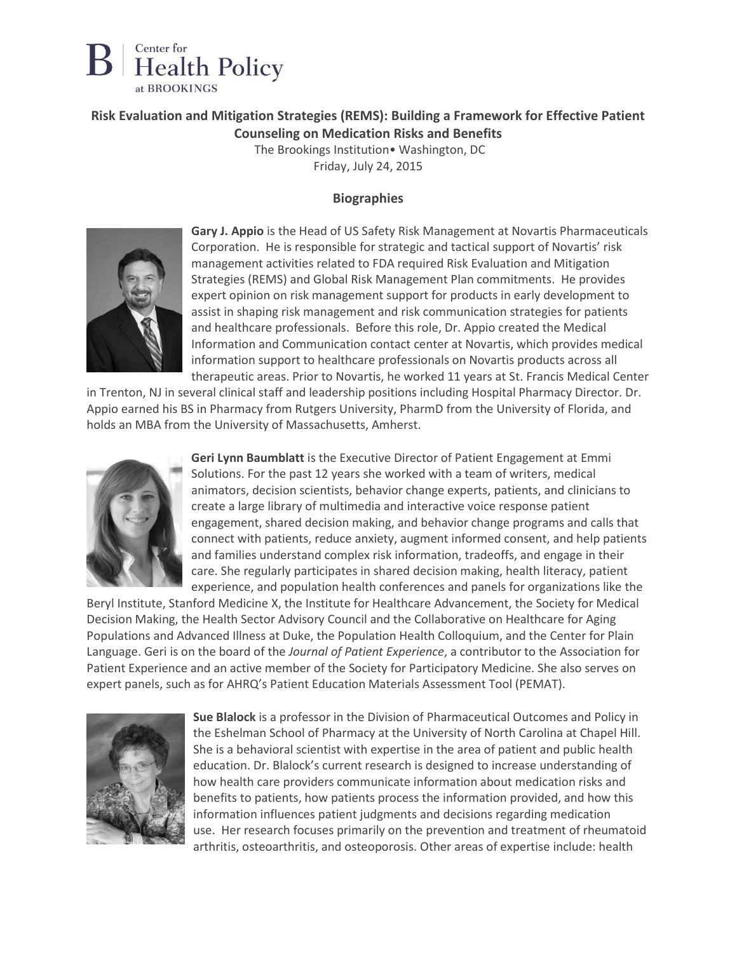

## **Risk Evaluation and Mitigation Strategies (REMS): Building a Framework for Effective Patient Counseling on Medication Risks and Benefits**

The Brookings Institution• Washington, DC Friday, July 24, 2015

## **Biographies**



**Gary J. Appio** is the Head of US Safety Risk Management at Novartis Pharmaceuticals Corporation. He is responsible for strategic and tactical support of Novartis' risk management activities related to FDA required Risk Evaluation and Mitigation Strategies (REMS) and Global Risk Management Plan commitments. He provides expert opinion on risk management support for products in early development to assist in shaping risk management and risk communication strategies for patients and healthcare professionals. Before this role, Dr. Appio created the Medical Information and Communication contact center at Novartis, which provides medical information support to healthcare professionals on Novartis products across all therapeutic areas. Prior to Novartis, he worked 11 years at St. Francis Medical Center

in Trenton, NJ in several clinical staff and leadership positions including Hospital Pharmacy Director. Dr. Appio earned his BS in Pharmacy from Rutgers University, PharmD from the University of Florida, and holds an MBA from the University of Massachusetts, Amherst.



**Geri Lynn Baumblatt** is the Executive Director of Patient Engagement at Emmi Solutions. For the past 12 years she worked with a team of writers, medical animators, decision scientists, behavior change experts, patients, and clinicians to create a large library of multimedia and interactive voice response patient engagement, shared decision making, and behavior change programs and calls that connect with patients, reduce anxiety, augment informed consent, and help patients and families understand complex risk information, tradeoffs, and engage in their care. She regularly participates in shared decision making, health literacy, patient experience, and population health conferences and panels for organizations like the

Beryl Institute, Stanford Medicine X, the Institute for Healthcare Advancement, the Society for Medical Decision Making, the Health Sector Advisory Council and the Collaborative on Healthcare for Aging Populations and Advanced Illness at Duke, the Population Health Colloquium, and the Center for Plain Language. Geri is on the board of the *Journal of Patient Experience*, a contributor to the Association for Patient Experience and an active member of the Society for Participatory Medicine. She also serves on expert panels, such as for AHRQ's Patient Education Materials Assessment Tool (PEMAT).



**Sue Blalock** is a professor in the Division of Pharmaceutical Outcomes and Policy in the Eshelman School of Pharmacy at the University of North Carolina at Chapel Hill. She is a behavioral scientist with expertise in the area of patient and public health education. Dr. Blalock's current research is designed to increase understanding of how health care providers communicate information about medication risks and benefits to patients, how patients process the information provided, and how this information influences patient judgments and decisions regarding medication use. Her research focuses primarily on the prevention and treatment of rheumatoid arthritis, osteoarthritis, and osteoporosis. Other areas of expertise include: health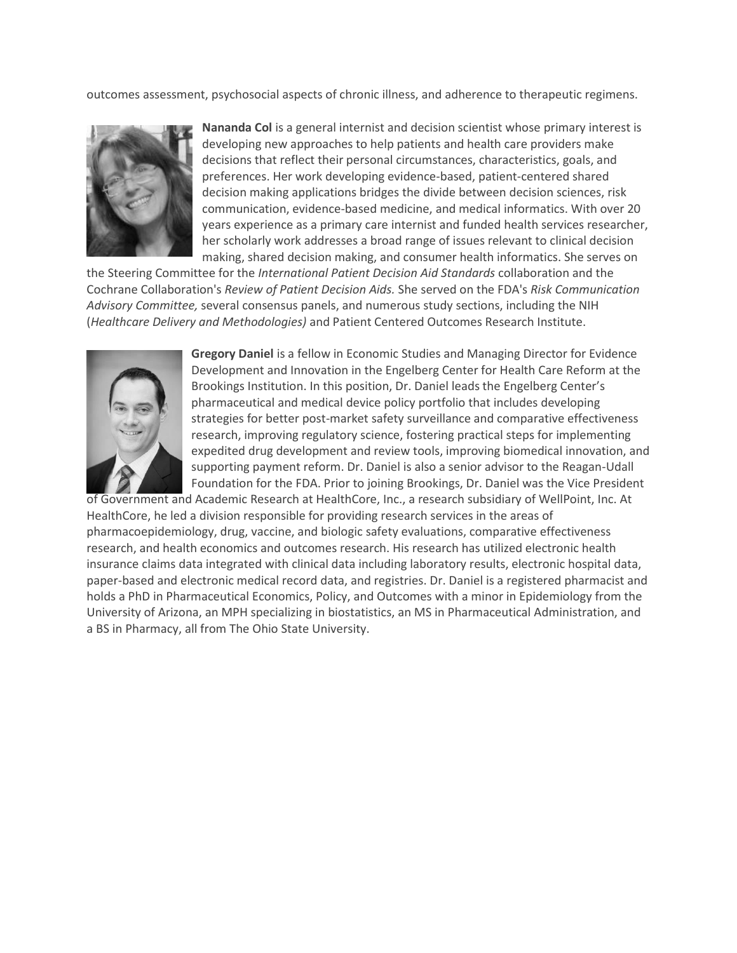outcomes assessment, psychosocial aspects of chronic illness, and adherence to therapeutic regimens.



**Nananda Col** is a general internist and decision scientist whose primary interest is developing new approaches to help patients and health care providers make decisions that reflect their personal circumstances, characteristics, goals, and preferences. Her work developing evidence-based, patient-centered shared decision making applications bridges the divide between decision sciences, risk communication, evidence-based medicine, and medical informatics. With over 20 years experience as a primary care internist and funded health services researcher, her scholarly work addresses a broad range of issues relevant to clinical decision making, shared decision making, and consumer health informatics. She serves on

the Steering Committee for the *International Patient Decision Aid Standards* collaboration and the Cochrane Collaboration's *Review of Patient Decision Aids.* She served on the FDA's *Risk Communication Advisory Committee,* several consensus panels, and numerous study sections, including the NIH (*Healthcare Delivery and Methodologies)* and Patient Centered Outcomes Research Institute.



**Gregory Daniel** is a fellow in Economic Studies and Managing Director for Evidence Development and Innovation in the Engelberg Center for Health Care Reform at the Brookings Institution. In this position, Dr. Daniel leads the Engelberg Center's pharmaceutical and medical device policy portfolio that includes developing strategies for better post-market safety surveillance and comparative effectiveness research, improving regulatory science, fostering practical steps for implementing expedited drug development and review tools, improving biomedical innovation, and supporting payment reform. Dr. Daniel is also a senior advisor to the Reagan-Udall Foundation for the FDA. Prior to joining Brookings, Dr. Daniel was the Vice President

of Government and Academic Research at HealthCore, Inc., a research subsidiary of WellPoint, Inc. At HealthCore, he led a division responsible for providing research services in the areas of pharmacoepidemiology, drug, vaccine, and biologic safety evaluations, comparative effectiveness research, and health economics and outcomes research. His research has utilized electronic health insurance claims data integrated with clinical data including laboratory results, electronic hospital data, paper-based and electronic medical record data, and registries. Dr. Daniel is a registered pharmacist and holds a PhD in Pharmaceutical Economics, Policy, and Outcomes with a minor in Epidemiology from the University of Arizona, an MPH specializing in biostatistics, an MS in Pharmaceutical Administration, and a BS in Pharmacy, all from The Ohio State University.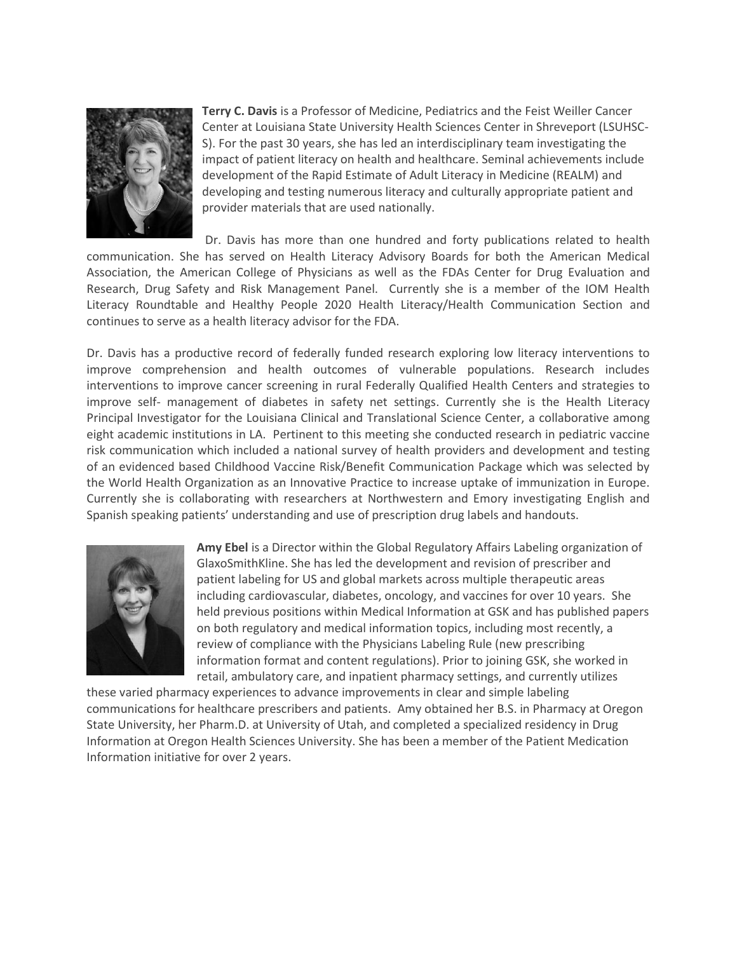

**Terry C. Davis** is a Professor of Medicine, Pediatrics and the Feist Weiller Cancer Center at Louisiana State University Health Sciences Center in Shreveport (LSUHSC-S). For the past 30 years, she has led an interdisciplinary team investigating the impact of patient literacy on health and healthcare. Seminal achievements include development of the Rapid Estimate of Adult Literacy in Medicine (REALM) and developing and testing numerous literacy and culturally appropriate patient and provider materials that are used nationally.

Dr. Davis has more than one hundred and forty publications related to health communication. She has served on Health Literacy Advisory Boards for both the American Medical Association, the American College of Physicians as well as the FDAs Center for Drug Evaluation and Research, Drug Safety and Risk Management Panel. Currently she is a member of the IOM Health Literacy Roundtable and Healthy People 2020 Health Literacy/Health Communication Section and continues to serve as a health literacy advisor for the FDA.

Dr. Davis has a productive record of federally funded research exploring low literacy interventions to improve comprehension and health outcomes of vulnerable populations. Research includes interventions to improve cancer screening in rural Federally Qualified Health Centers and strategies to improve self- management of diabetes in safety net settings. Currently she is the Health Literacy Principal Investigator for the Louisiana Clinical and Translational Science Center, a collaborative among eight academic institutions in LA. Pertinent to this meeting she conducted research in pediatric vaccine risk communication which included a national survey of health providers and development and testing of an evidenced based Childhood Vaccine Risk/Benefit Communication Package which was selected by the World Health Organization as an Innovative Practice to increase uptake of immunization in Europe. Currently she is collaborating with researchers at Northwestern and Emory investigating English and Spanish speaking patients' understanding and use of prescription drug labels and handouts.



**Amy Ebel** is a Director within the Global Regulatory Affairs Labeling organization of GlaxoSmithKline. She has led the development and revision of prescriber and patient labeling for US and global markets across multiple therapeutic areas including cardiovascular, diabetes, oncology, and vaccines for over 10 years. She held previous positions within Medical Information at GSK and has published papers on both regulatory and medical information topics, including most recently, a review of compliance with the Physicians Labeling Rule (new prescribing information format and content regulations). Prior to joining GSK, she worked in retail, ambulatory care, and inpatient pharmacy settings, and currently utilizes

these varied pharmacy experiences to advance improvements in clear and simple labeling communications for healthcare prescribers and patients. Amy obtained her B.S. in Pharmacy at Oregon State University, her Pharm.D. at University of Utah, and completed a specialized residency in Drug Information at Oregon Health Sciences University. She has been a member of the Patient Medication Information initiative for over 2 years.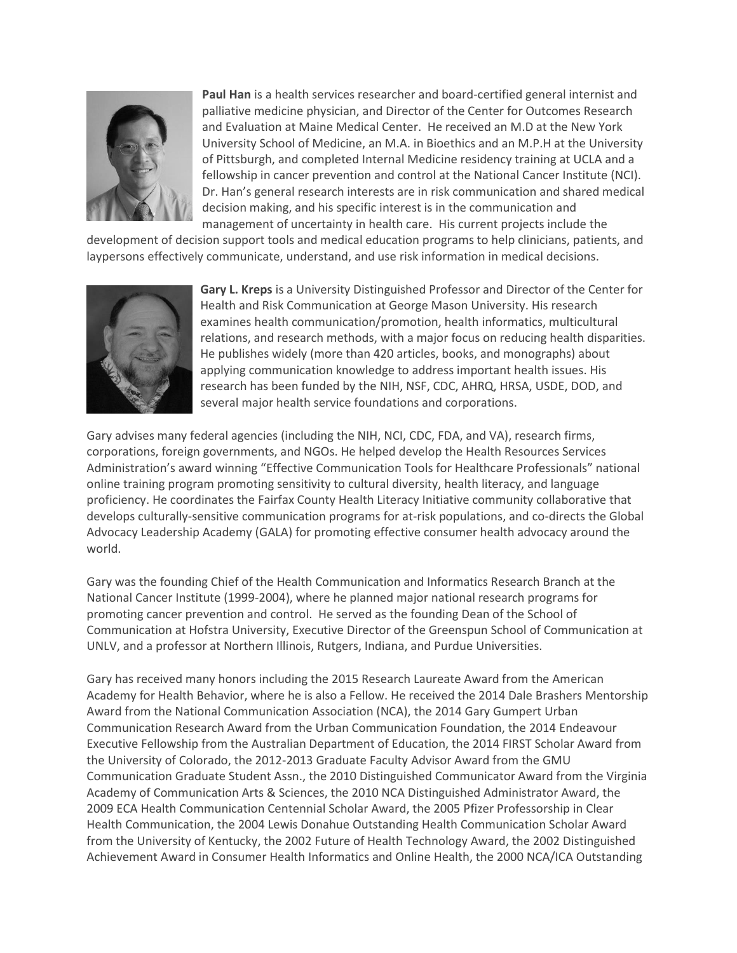

**Paul Han** is a health services researcher and board-certified general internist and palliative medicine physician, and Director of the Center for Outcomes Research and Evaluation at Maine Medical Center. He received an M.D at the New York University School of Medicine, an M.A. in Bioethics and an M.P.H at the University of Pittsburgh, and completed Internal Medicine residency training at UCLA and a fellowship in cancer prevention and control at the National Cancer Institute (NCI). Dr. Han's general research interests are in risk communication and shared medical decision making, and his specific interest is in the communication and management of uncertainty in health care. His current projects include the

development of decision support tools and medical education programs to help clinicians, patients, and laypersons effectively communicate, understand, and use risk information in medical decisions.



**Gary L. Kreps** is a University Distinguished Professor and Director of the Center for Health and Risk Communication at George Mason University. His research examines health communication/promotion, health informatics, multicultural relations, and research methods, with a major focus on reducing health disparities. He publishes widely (more than 420 articles, books, and monographs) about applying communication knowledge to address important health issues. His research has been funded by the NIH, NSF, CDC, AHRQ, HRSA, USDE, DOD, and several major health service foundations and corporations.

Gary advises many federal agencies (including the NIH, NCI, CDC, FDA, and VA), research firms, corporations, foreign governments, and NGOs. He helped develop the Health Resources Services Administration's award winning "Effective Communication Tools for Healthcare Professionals" national online training program promoting sensitivity to cultural diversity, health literacy, and language proficiency. He coordinates the Fairfax County Health Literacy Initiative community collaborative that develops culturally-sensitive communication programs for at-risk populations, and co-directs the Global Advocacy Leadership Academy (GALA) for promoting effective consumer health advocacy around the world.

Gary was the founding Chief of the Health Communication and Informatics Research Branch at the National Cancer Institute (1999-2004), where he planned major national research programs for promoting cancer prevention and control. He served as the founding Dean of the School of Communication at Hofstra University, Executive Director of the Greenspun School of Communication at UNLV, and a professor at Northern Illinois, Rutgers, Indiana, and Purdue Universities.

Gary has received many honors including the 2015 Research Laureate Award from the American Academy for Health Behavior, where he is also a Fellow. He received the 2014 Dale Brashers Mentorship Award from the National Communication Association (NCA), the 2014 Gary Gumpert Urban Communication Research Award from the Urban Communication Foundation, the 2014 Endeavour Executive Fellowship from the Australian Department of Education, the 2014 FIRST Scholar Award from the University of Colorado, the 2012-2013 Graduate Faculty Advisor Award from the GMU Communication Graduate Student Assn., the 2010 Distinguished Communicator Award from the Virginia Academy of Communication Arts & Sciences, the 2010 NCA Distinguished Administrator Award, the 2009 ECA Health Communication Centennial Scholar Award, the 2005 Pfizer Professorship in Clear Health Communication, the 2004 Lewis Donahue Outstanding Health Communication Scholar Award from the University of Kentucky, the 2002 Future of Health Technology Award, the 2002 Distinguished Achievement Award in Consumer Health Informatics and Online Health, the 2000 NCA/ICA Outstanding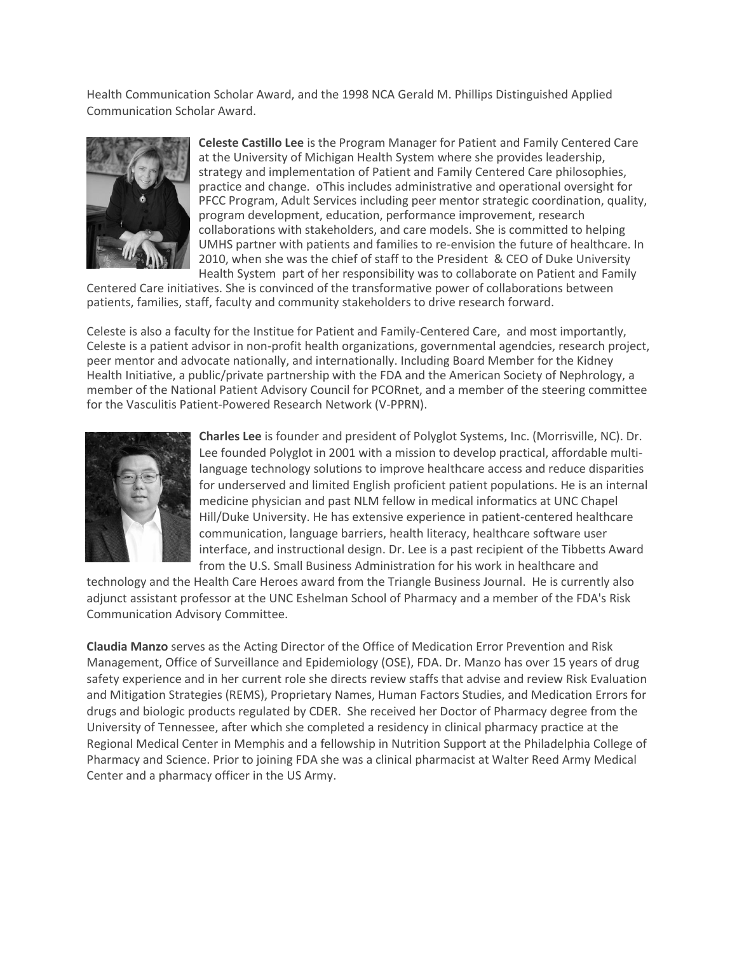Health Communication Scholar Award, and the 1998 NCA Gerald M. Phillips Distinguished Applied Communication Scholar Award.



**Celeste Castillo Lee** is the Program Manager for Patient and Family Centered Care at the University of Michigan Health System where she provides leadership, strategy and implementation of Patient and Family Centered Care philosophies, practice and change. oThis includes administrative and operational oversight for PFCC Program, Adult Services including peer mentor strategic coordination, quality, program development, education, performance improvement, research collaborations with stakeholders, and care models. She is committed to helping UMHS partner with patients and families to re-envision the future of healthcare. In 2010, when she was the chief of staff to the President & CEO of Duke University Health System part of her responsibility was to collaborate on Patient and Family

Centered Care initiatives. She is convinced of the transformative power of collaborations between patients, families, staff, faculty and community stakeholders to drive research forward.

Celeste is also a faculty for the Institue for Patient and Family-Centered Care, and most importantly, Celeste is a patient advisor in non-profit health organizations, governmental agendcies, research project, peer mentor and advocate nationally, and internationally. Including Board Member for the Kidney Health Initiative, a public/private partnership with the FDA and the American Society of Nephrology, a member of the National Patient Advisory Council for PCORnet, and a member of the steering committee for the Vasculitis Patient-Powered Research Network (V-PPRN).



**Charles Lee** is founder and president of Polyglot Systems, Inc. (Morrisville, NC). Dr. Lee founded Polyglot in 2001 with a mission to develop practical, affordable multilanguage technology solutions to improve healthcare access and reduce disparities for underserved and limited English proficient patient populations. He is an internal medicine physician and past NLM fellow in medical informatics at UNC Chapel Hill/Duke University. He has extensive experience in patient-centered healthcare communication, language barriers, health literacy, healthcare software user interface, and instructional design. Dr. Lee is a past recipient of the Tibbetts Award from the U.S. Small Business Administration for his work in healthcare and

technology and the Health Care Heroes award from the Triangle Business Journal. He is currently also adjunct assistant professor at the UNC Eshelman School of Pharmacy and a member of the FDA's Risk Communication Advisory Committee.

**Claudia Manzo** serves as the Acting Director of the Office of Medication Error Prevention and Risk Management, Office of Surveillance and Epidemiology (OSE), FDA. Dr. Manzo has over 15 years of drug safety experience and in her current role she directs review staffs that advise and review Risk Evaluation and Mitigation Strategies (REMS), Proprietary Names, Human Factors Studies, and Medication Errors for drugs and biologic products regulated by CDER. She received her Doctor of Pharmacy degree from the University of Tennessee, after which she completed a residency in clinical pharmacy practice at the Regional Medical Center in Memphis and a fellowship in Nutrition Support at the Philadelphia College of Pharmacy and Science. Prior to joining FDA she was a clinical pharmacist at Walter Reed Army Medical Center and a pharmacy officer in the US Army.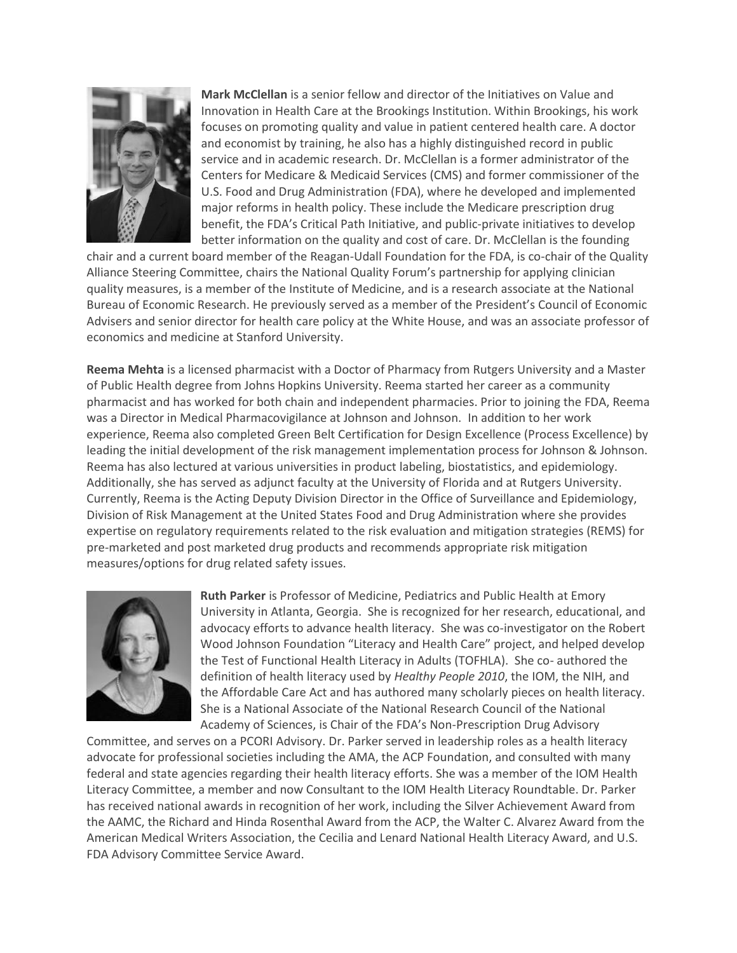

**Mark McClellan** is a senior fellow and director of the Initiatives on Value and Innovation in Health Care at the Brookings Institution. Within Brookings, his work focuses on promoting quality and value in patient centered health care. A doctor and economist by training, he also has a highly distinguished record in public service and in academic research. Dr. McClellan is a former administrator of the Centers for Medicare & Medicaid Services (CMS) and former commissioner of the U.S. Food and Drug Administration (FDA), where he developed and implemented major reforms in health policy. These include the Medicare prescription drug benefit, the FDA's Critical Path Initiative, and public-private initiatives to develop better information on the quality and cost of care. Dr. McClellan is the founding

chair and a current board member of the Reagan-Udall Foundation for the FDA, is co-chair of the Quality Alliance Steering Committee, chairs the National Quality Forum's partnership for applying clinician quality measures, is a member of the Institute of Medicine, and is a research associate at the National Bureau of Economic Research. He previously served as a member of the President's Council of Economic Advisers and senior director for health care policy at the White House, and was an associate professor of economics and medicine at Stanford University.

**Reema Mehta** is a licensed pharmacist with a Doctor of Pharmacy from Rutgers University and a Master of Public Health degree from Johns Hopkins University. Reema started her career as a community pharmacist and has worked for both chain and independent pharmacies. Prior to joining the FDA, Reema was a Director in Medical Pharmacovigilance at Johnson and Johnson. In addition to her work experience, Reema also completed Green Belt Certification for Design Excellence (Process Excellence) by leading the initial development of the risk management implementation process for Johnson & Johnson. Reema has also lectured at various universities in product labeling, biostatistics, and epidemiology. Additionally, she has served as adjunct faculty at the University of Florida and at Rutgers University. Currently, Reema is the Acting Deputy Division Director in the Office of Surveillance and Epidemiology, Division of Risk Management at the United States Food and Drug Administration where she provides expertise on regulatory requirements related to the risk evaluation and mitigation strategies (REMS) for pre-marketed and post marketed drug products and recommends appropriate risk mitigation measures/options for drug related safety issues.



**Ruth Parker** is Professor of Medicine, Pediatrics and Public Health at Emory University in Atlanta, Georgia. She is recognized for her research, educational, and advocacy efforts to advance health literacy. She was co-investigator on the Robert Wood Johnson Foundation "Literacy and Health Care" project, and helped develop the Test of Functional Health Literacy in Adults (TOFHLA). She co- authored the definition of health literacy used by *Healthy People 2010*, the IOM, the NIH, and the Affordable Care Act and has authored many scholarly pieces on health literacy. She is a National Associate of the National Research Council of the National Academy of Sciences, is Chair of the FDA's Non-Prescription Drug Advisory

Committee, and serves on a PCORI Advisory. Dr. Parker served in leadership roles as a health literacy advocate for professional societies including the AMA, the ACP Foundation, and consulted with many federal and state agencies regarding their health literacy efforts. She was a member of the IOM Health Literacy Committee, a member and now Consultant to the IOM Health Literacy Roundtable. Dr. Parker has received national awards in recognition of her work, including the Silver Achievement Award from the AAMC, the Richard and Hinda Rosenthal Award from the ACP, the Walter C. Alvarez Award from the American Medical Writers Association, the Cecilia and Lenard National Health Literacy Award, and U.S. FDA Advisory Committee Service Award.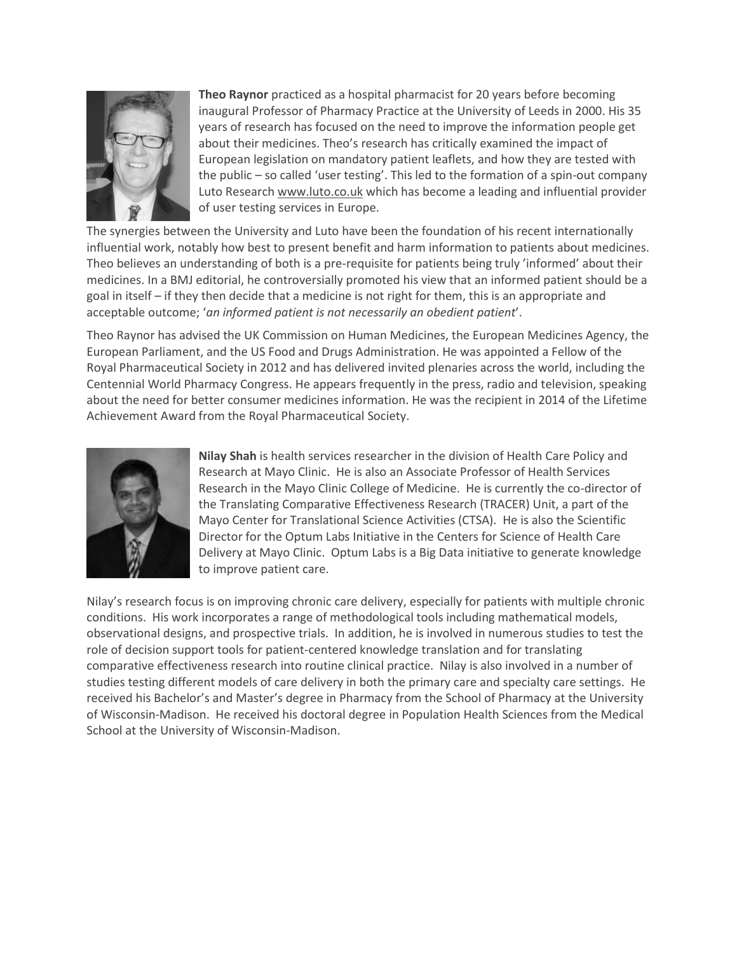

**Theo Raynor** practiced as a hospital pharmacist for 20 years before becoming inaugural Professor of Pharmacy Practice at the University of Leeds in 2000. His 35 years of research has focused on the need to improve the information people get about their medicines. Theo's research has critically examined the impact of European legislation on mandatory patient leaflets, and how they are tested with the public – so called 'user testing'. This led to the formation of a spin-out company Luto Researc[h www.luto.co.uk](http://www.luto.co.uk/) which has become a leading and influential provider of user testing services in Europe.

The synergies between the University and Luto have been the foundation of his recent internationally influential work, notably how best to present benefit and harm information to patients about medicines. Theo believes an understanding of both is a pre-requisite for patients being truly 'informed' about their medicines. In a BMJ editorial, he controversially promoted his view that an informed patient should be a goal in itself – if they then decide that a medicine is not right for them, this is an appropriate and acceptable outcome; '*an informed patient is not necessarily an obedient patient*'.

Theo Raynor has advised the UK Commission on Human Medicines, the European Medicines Agency, the European Parliament, and the US Food and Drugs Administration. He was appointed a Fellow of the Royal Pharmaceutical Society in 2012 and has delivered invited plenaries across the world, including the Centennial World Pharmacy Congress. He appears frequently in the press, radio and television, speaking about the need for better consumer medicines information. He was the recipient in 2014 of the Lifetime Achievement Award from the Royal Pharmaceutical Society.



**Nilay Shah** is health services researcher in the division of Health Care Policy and Research at Mayo Clinic. He is also an Associate Professor of Health Services Research in the Mayo Clinic College of Medicine. He is currently the co-director of the Translating Comparative Effectiveness Research (TRACER) Unit, a part of the Mayo Center for Translational Science Activities (CTSA). He is also the Scientific Director for the Optum Labs Initiative in the Centers for Science of Health Care Delivery at Mayo Clinic. Optum Labs is a Big Data initiative to generate knowledge to improve patient care.

Nilay's research focus is on improving chronic care delivery, especially for patients with multiple chronic conditions. His work incorporates a range of methodological tools including mathematical models, observational designs, and prospective trials. In addition, he is involved in numerous studies to test the role of decision support tools for patient-centered knowledge translation and for translating comparative effectiveness research into routine clinical practice. Nilay is also involved in a number of studies testing different models of care delivery in both the primary care and specialty care settings. He received his Bachelor's and Master's degree in Pharmacy from the School of Pharmacy at the University of Wisconsin-Madison. He received his doctoral degree in Population Health Sciences from the Medical School at the University of Wisconsin-Madison.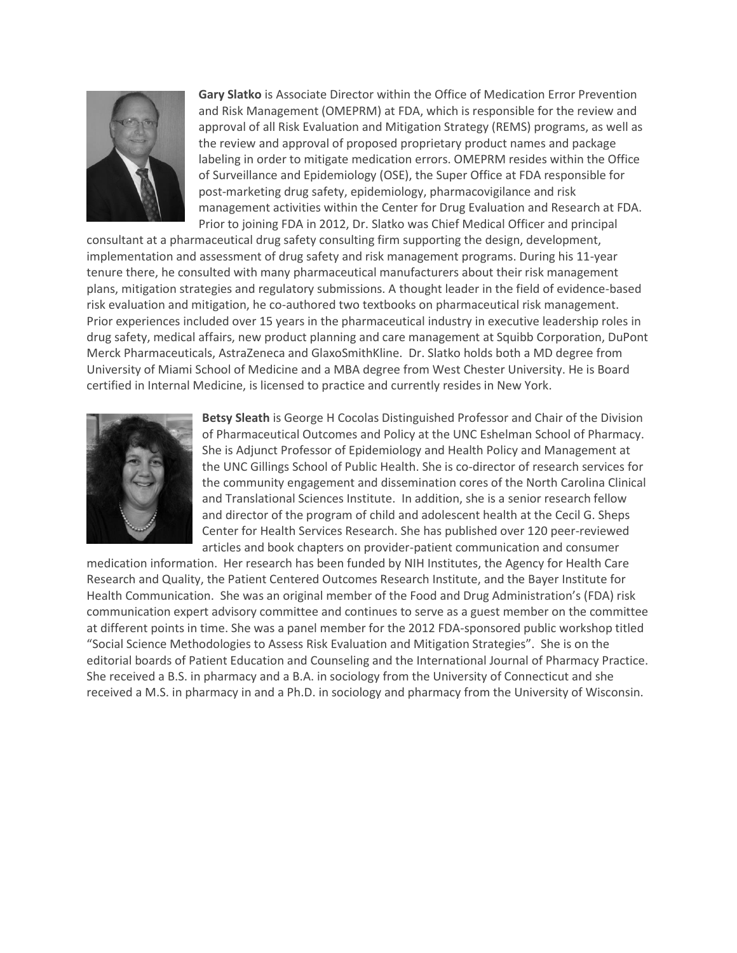

**Gary Slatko** is Associate Director within the Office of Medication Error Prevention and Risk Management (OMEPRM) at FDA, which is responsible for the review and approval of all Risk Evaluation and Mitigation Strategy (REMS) programs, as well as the review and approval of proposed proprietary product names and package labeling in order to mitigate medication errors. OMEPRM resides within the Office of Surveillance and Epidemiology (OSE), the Super Office at FDA responsible for post-marketing drug safety, epidemiology, pharmacovigilance and risk management activities within the Center for Drug Evaluation and Research at FDA. Prior to joining FDA in 2012, Dr. Slatko was Chief Medical Officer and principal

consultant at a pharmaceutical drug safety consulting firm supporting the design, development, implementation and assessment of drug safety and risk management programs. During his 11-year tenure there, he consulted with many pharmaceutical manufacturers about their risk management plans, mitigation strategies and regulatory submissions. A thought leader in the field of evidence-based risk evaluation and mitigation, he co-authored two textbooks on pharmaceutical risk management. Prior experiences included over 15 years in the pharmaceutical industry in executive leadership roles in drug safety, medical affairs, new product planning and care management at Squibb Corporation, DuPont Merck Pharmaceuticals, AstraZeneca and GlaxoSmithKline. Dr. Slatko holds both a MD degree from University of Miami School of Medicine and a MBA degree from West Chester University. He is Board certified in Internal Medicine, is licensed to practice and currently resides in New York.



**Betsy Sleath** is George H Cocolas Distinguished Professor and Chair of the Division of Pharmaceutical Outcomes and Policy at the UNC Eshelman School of Pharmacy. She is Adjunct Professor of Epidemiology and Health Policy and Management at the UNC Gillings School of Public Health. She is co-director of research services for the community engagement and dissemination cores of the North Carolina Clinical and Translational Sciences Institute. In addition, she is a senior research fellow and director of the program of child and adolescent health at the Cecil G. Sheps Center for Health Services Research. She has published over 120 peer-reviewed articles and book chapters on provider-patient communication and consumer

medication information. Her research has been funded by NIH Institutes, the Agency for Health Care Research and Quality, the Patient Centered Outcomes Research Institute, and the Bayer Institute for Health Communication. She was an original member of the Food and Drug Administration's (FDA) risk communication expert advisory committee and continues to serve as a guest member on the committee at different points in time. She was a panel member for the 2012 FDA-sponsored public workshop titled "Social Science Methodologies to Assess Risk Evaluation and Mitigation Strategies". She is on the editorial boards of Patient Education and Counseling and the International Journal of Pharmacy Practice. She received a B.S. in pharmacy and a B.A. in sociology from the University of Connecticut and she received a M.S. in pharmacy in and a Ph.D. in sociology and pharmacy from the University of Wisconsin.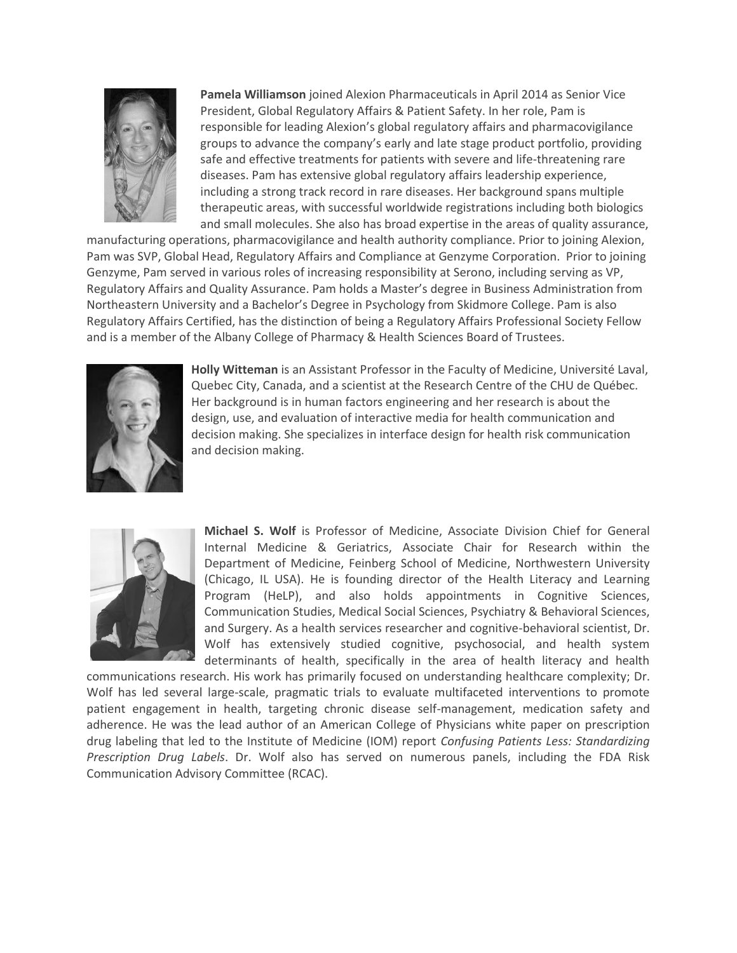

**Pamela Williamson** joined Alexion Pharmaceuticals in April 2014 as Senior Vice President, Global Regulatory Affairs & Patient Safety. In her role, Pam is responsible for leading Alexion's global regulatory affairs and pharmacovigilance groups to advance the company's early and late stage product portfolio, providing safe and effective treatments for patients with severe and life-threatening rare diseases. Pam has extensive global regulatory affairs leadership experience, including a strong track record in rare diseases. Her background spans multiple therapeutic areas, with successful worldwide registrations including both biologics and small molecules. She also has broad expertise in the areas of quality assurance,

manufacturing operations, pharmacovigilance and health authority compliance. Prior to joining Alexion, Pam was SVP, Global Head, Regulatory Affairs and Compliance at Genzyme Corporation. Prior to joining Genzyme, Pam served in various roles of increasing responsibility at Serono, including serving as VP, Regulatory Affairs and Quality Assurance. Pam holds a Master's degree in Business Administration from Northeastern University and a Bachelor's Degree in Psychology from Skidmore College. Pam is also Regulatory Affairs Certified, has the distinction of being a Regulatory Affairs Professional Society Fellow and is a member of the Albany College of Pharmacy & Health Sciences Board of Trustees.



**Holly Witteman** is an Assistant Professor in the Faculty of Medicine, Université Laval, Quebec City, Canada, and a scientist at the Research Centre of the CHU de Québec. Her background is in human factors engineering and her research is about the design, use, and evaluation of interactive media for health communication and decision making. She specializes in interface design for health risk communication and decision making.



**Michael S. Wolf** is Professor of Medicine, Associate Division Chief for General Internal Medicine & Geriatrics, Associate Chair for Research within the Department of Medicine, Feinberg School of Medicine, Northwestern University (Chicago, IL USA). He is founding director of the Health Literacy and Learning Program (HeLP), and also holds appointments in Cognitive Sciences, Communication Studies, Medical Social Sciences, Psychiatry & Behavioral Sciences, and Surgery. As a health services researcher and cognitive-behavioral scientist, Dr. Wolf has extensively studied cognitive, psychosocial, and health system determinants of health, specifically in the area of health literacy and health

communications research. His work has primarily focused on understanding healthcare complexity; Dr. Wolf has led several large-scale, pragmatic trials to evaluate multifaceted interventions to promote patient engagement in health, targeting chronic disease self-management, medication safety and adherence. He was the lead author of an American College of Physicians white paper on prescription drug labeling that led to the Institute of Medicine (IOM) report *Confusing Patients Less: Standardizing Prescription Drug Labels*. Dr. Wolf also has served on numerous panels, including the FDA Risk Communication Advisory Committee (RCAC).